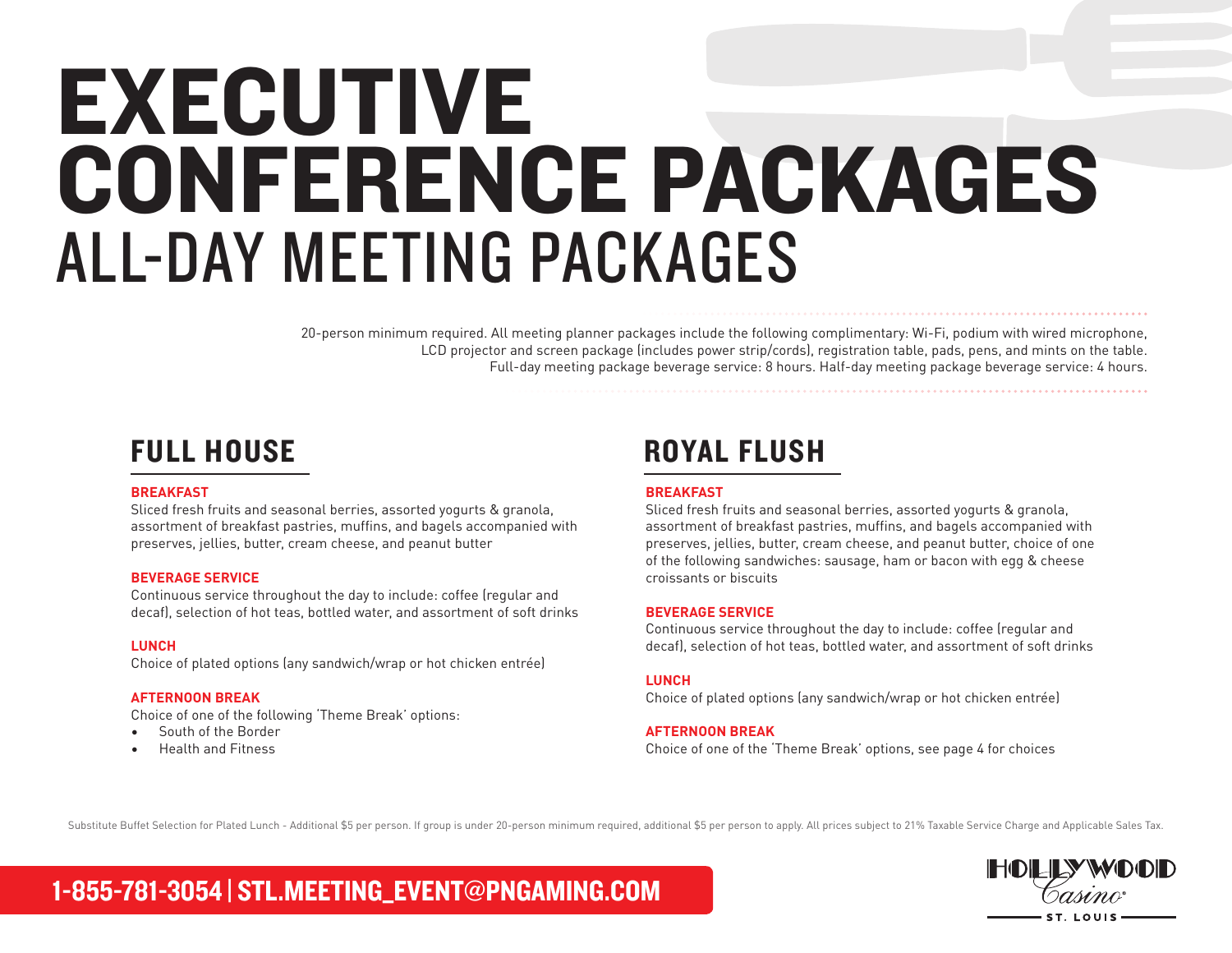# EXECUTIVE CONFERENCE PACKAGES ALL-DAY MEETING PACKAGES

20-person minimum required. All meeting planner packages include the following complimentary: Wi-Fi, podium with wired microphone, LCD projector and screen package (includes power strip/cords), registration table, pads, pens, and mints on the table. Full-day meeting package beverage service: 8 hours. Half-day meeting package beverage service: 4 hours.

# FULL HOUSE

#### **BREAKFAST**

Sliced fresh fruits and seasonal berries, assorted yogurts & granola, assortment of breakfast pastries, muffins, and bagels accompanied with preserves, jellies, butter, cream cheese, and peanut butter

#### **BEVERAGE SERVICE**

Continuous service throughout the day to include: coffee (regular and decaf), selection of hot teas, bottled water, and assortment of soft drinks

#### **LUNCH**

Choice of plated options (any sandwich/wrap or hot chicken entrée)

#### **AFTERNOON BREAK**

Choice of one of the following 'Theme Break' options:

- South of the Border
- Health and Fitness

# ROYAL FLUSH

## **BREAKFAST**

Sliced fresh fruits and seasonal berries, assorted yogurts & granola, assortment of breakfast pastries, muffins, and bagels accompanied with preserves, jellies, butter, cream cheese, and peanut butter, choice of one of the following sandwiches: sausage, ham or bacon with egg & cheese croissants or biscuits

#### **BEVERAGE SERVICE**

Continuous service throughout the day to include: coffee (regular and decaf), selection of hot teas, bottled water, and assortment of soft drinks

## **LUNCH**

Choice of plated options (any sandwich/wrap or hot chicken entrée)

#### **AFTERNOON BREAK**

Choice of one of the 'Theme Break' options, see page 4 for choices

Substitute Buffet Selection for Plated Lunch - Additional \$5 per person. If group is under 20-person minimum required, additional \$5 per person to apply. All prices subject to 21% Taxable Service Charge and Applicable Sale



1-855-781-3054 | STL.MEETING\_EVENT@PNGAMING.COM